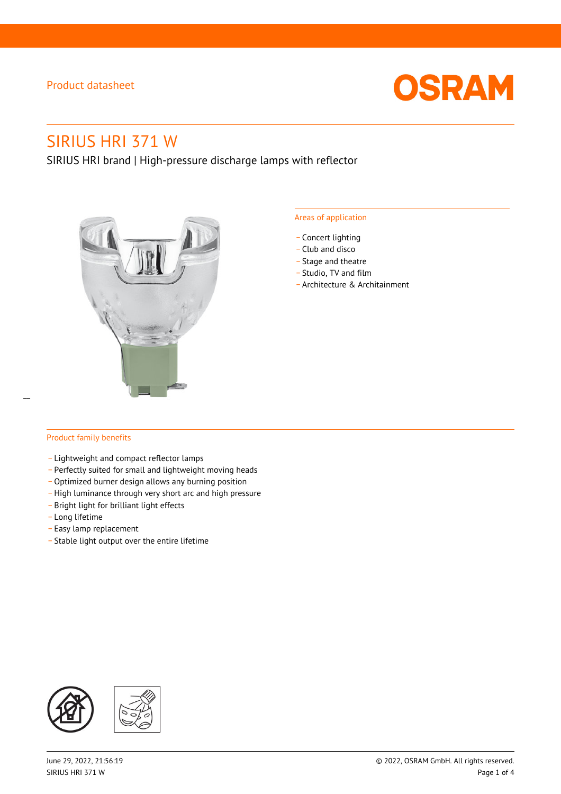

# SIRIUS HRI 371 W

SIRIUS HRI brand | High-pressure discharge lamps with reflector



#### Areas of application

- Concert lighting
- \_ Club and disco
- Stage and theatre
- \_ Studio, TV and film
- \_ Architecture & Architainment

#### Product family benefits

- \_ Lightweight and compact reflector lamps
- \_ Perfectly suited for small and lightweight moving heads
- Optimized burner design allows any burning position
- High luminance through very short arc and high pressure
- \_ Bright light for brilliant light effects
- \_ Long lifetime
- \_ Easy lamp replacement
- \_ Stable light output over the entire lifetime

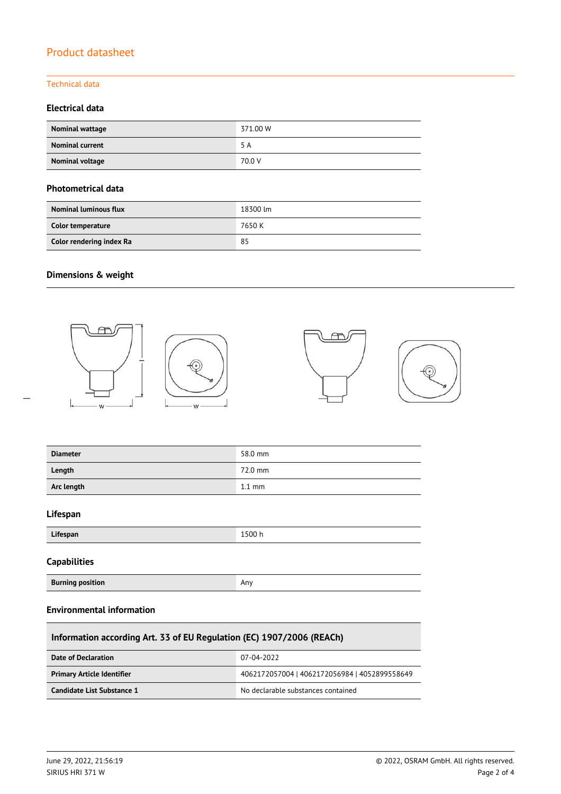#### Technical data

#### **Electrical data**

| Nominal wattage        | 371.00 W |
|------------------------|----------|
| <b>Nominal current</b> | 5 A      |
| Nominal voltage        | 70.0 V   |

#### **Photometrical data**

| <b>Nominal luminous flux</b> | 18300 lm |
|------------------------------|----------|
| Color temperature            | 7650 K   |
| Color rendering index Ra     | 85       |

### **Dimensions & weight**



| <b>Diameter</b> | 58.0 mm          |
|-----------------|------------------|
| Length          | 72.0 mm          |
| Arc length      | $1.1 \text{ mm}$ |

#### **Lifespan**

 $\overline{a}$ 

| 1 I.C<br>Lifespan | 1500h |
|-------------------|-------|
|                   |       |

#### **Capabilities**

| <b>Burning position</b> | Any |
|-------------------------|-----|
|-------------------------|-----|

#### **Environmental information**

| Information according Art. 33 of EU Regulation (EC) 1907/2006 (REACh) |                                               |  |  |
|-----------------------------------------------------------------------|-----------------------------------------------|--|--|
| Date of Declaration                                                   | 07-04-2022                                    |  |  |
| <b>Primary Article Identifier</b>                                     | 4062172057004   4062172056984   4052899558649 |  |  |
| Candidate List Substance 1                                            | No declarable substances contained            |  |  |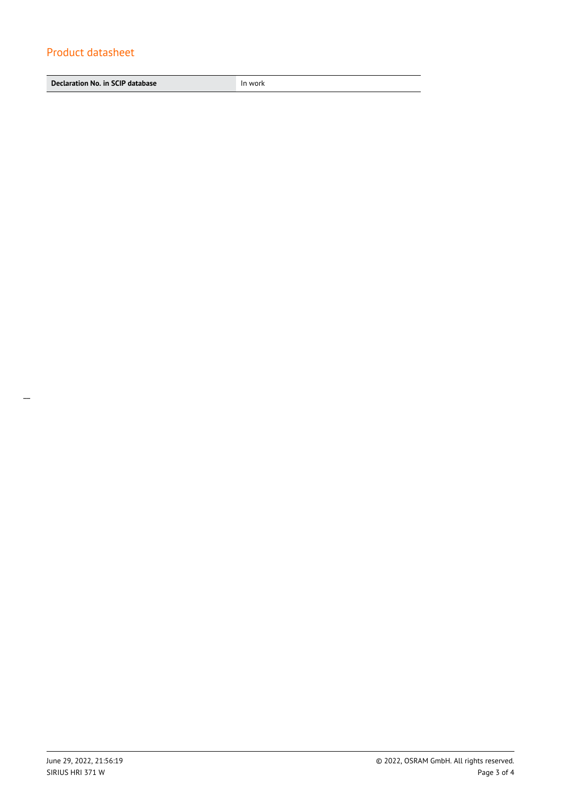**Declaration No. in SCIP database In work**